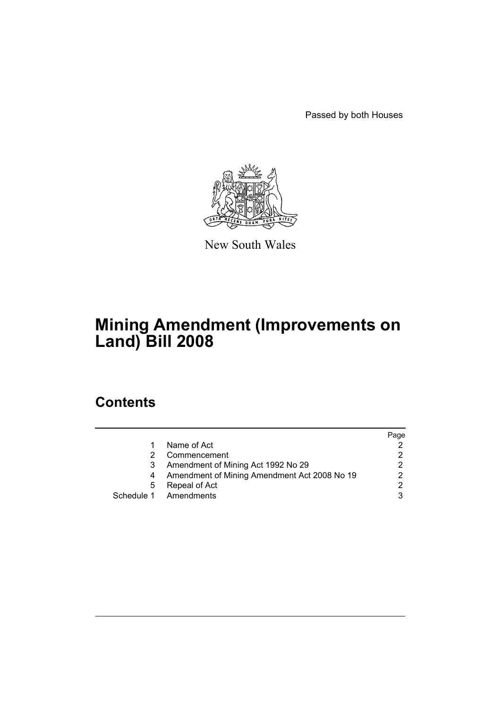Passed by both Houses



New South Wales

# **Mining Amendment (Improvements on Land) Bill 2008**

# **Contents**

|   |                                              | Page |
|---|----------------------------------------------|------|
|   | Name of Act                                  |      |
|   | Commencement                                 |      |
|   | Amendment of Mining Act 1992 No 29           |      |
|   | Amendment of Mining Amendment Act 2008 No 19 |      |
| 5 | Repeal of Act                                |      |
|   | Schedule 1 Amendments                        |      |
|   |                                              |      |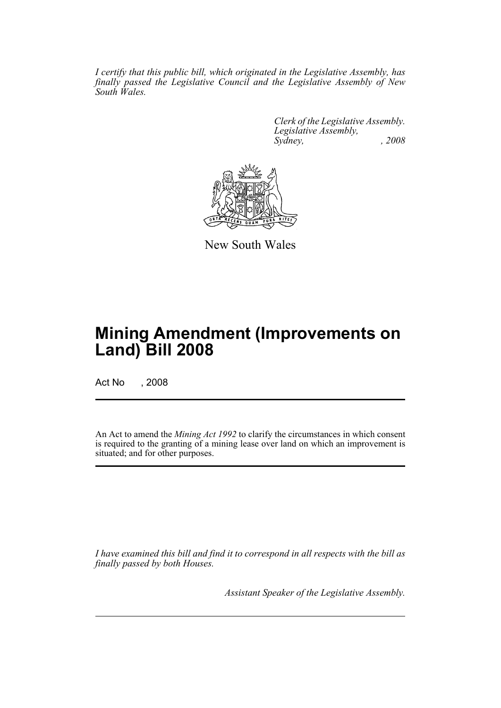*I certify that this public bill, which originated in the Legislative Assembly, has finally passed the Legislative Council and the Legislative Assembly of New South Wales.*

> *Clerk of the Legislative Assembly. Legislative Assembly, Sydney, , 2008*



New South Wales

# **Mining Amendment (Improvements on Land) Bill 2008**

Act No , 2008

An Act to amend the *Mining Act 1992* to clarify the circumstances in which consent is required to the granting of a mining lease over land on which an improvement is situated; and for other purposes.

*I have examined this bill and find it to correspond in all respects with the bill as finally passed by both Houses.*

*Assistant Speaker of the Legislative Assembly.*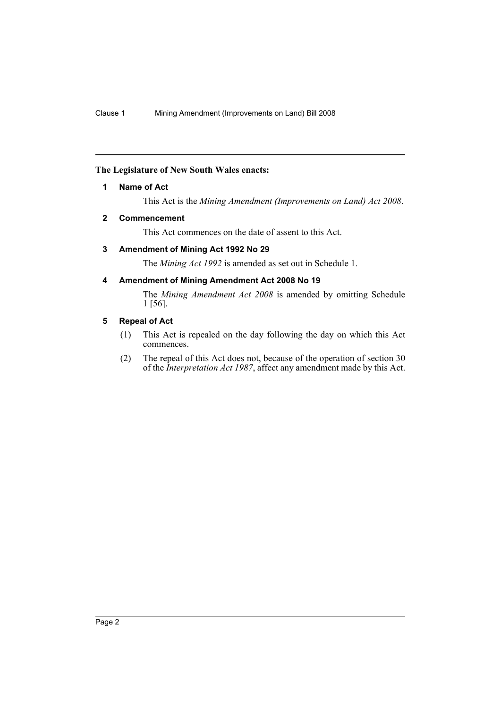## <span id="page-2-0"></span>**The Legislature of New South Wales enacts:**

#### **1 Name of Act**

This Act is the *Mining Amendment (Improvements on Land) Act 2008*.

#### <span id="page-2-1"></span>**2 Commencement**

This Act commences on the date of assent to this Act.

## <span id="page-2-2"></span>**3 Amendment of Mining Act 1992 No 29**

The *Mining Act 1992* is amended as set out in Schedule 1.

## <span id="page-2-3"></span>**4 Amendment of Mining Amendment Act 2008 No 19**

The *Mining Amendment Act 2008* is amended by omitting Schedule 1 [56].

#### <span id="page-2-4"></span>**5 Repeal of Act**

- (1) This Act is repealed on the day following the day on which this Act commences.
- (2) The repeal of this Act does not, because of the operation of section 30 of the *Interpretation Act 1987*, affect any amendment made by this Act.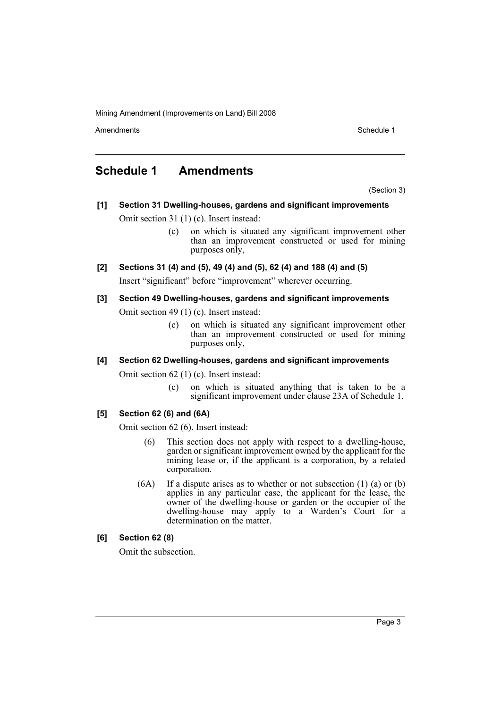Amendments **Amendments** Schedule 1

## <span id="page-3-0"></span>**Schedule 1 Amendments**

(Section 3)

## **[1] Section 31 Dwelling-houses, gardens and significant improvements**

- Omit section 31 (1) (c). Insert instead:
	- (c) on which is situated any significant improvement other than an improvement constructed or used for mining purposes only,
- **[2] Sections 31 (4) and (5), 49 (4) and (5), 62 (4) and 188 (4) and (5)**

Insert "significant" before "improvement" wherever occurring.

#### **[3] Section 49 Dwelling-houses, gardens and significant improvements**

Omit section 49 (1) (c). Insert instead:

(c) on which is situated any significant improvement other than an improvement constructed or used for mining purposes only,

### **[4] Section 62 Dwelling-houses, gardens and significant improvements**

Omit section 62 (1) (c). Insert instead:

(c) on which is situated anything that is taken to be a significant improvement under clause 23A of Schedule 1,

### **[5] Section 62 (6) and (6A)**

Omit section 62 (6). Insert instead:

- (6) This section does not apply with respect to a dwelling-house, garden or significant improvement owned by the applicant for the mining lease or, if the applicant is a corporation, by a related corporation.
- (6A) If a dispute arises as to whether or not subsection (1) (a) or (b) applies in any particular case, the applicant for the lease, the owner of the dwelling-house or garden or the occupier of the dwelling-house may apply to a Warden's Court for a determination on the matter.

## **[6] Section 62 (8)**

Omit the subsection.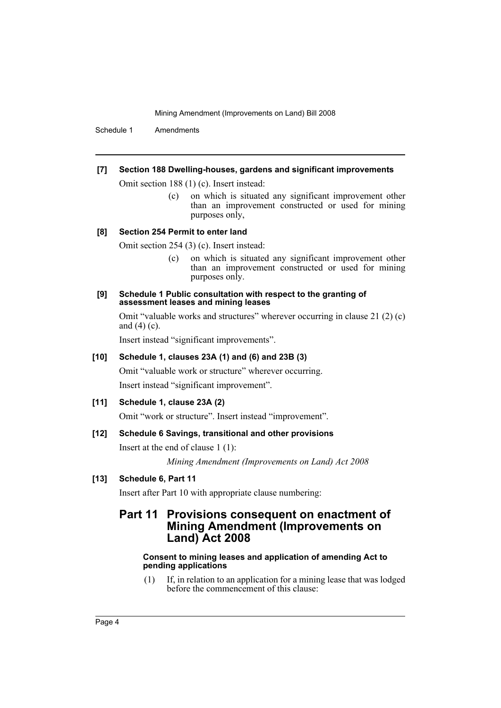Schedule 1 Amendments

#### **[7] Section 188 Dwelling-houses, gardens and significant improvements**

Omit section 188 (1) (c). Insert instead:

(c) on which is situated any significant improvement other than an improvement constructed or used for mining purposes only,

#### **[8] Section 254 Permit to enter land**

Omit section 254 (3) (c). Insert instead:

(c) on which is situated any significant improvement other than an improvement constructed or used for mining purposes only.

#### **[9] Schedule 1 Public consultation with respect to the granting of assessment leases and mining leases**

Omit "valuable works and structures" wherever occurring in clause 21 (2) (c) and  $(4)$  (c).

Insert instead "significant improvements".

## **[10] Schedule 1, clauses 23A (1) and (6) and 23B (3)**

Omit "valuable work or structure" wherever occurring. Insert instead "significant improvement".

### **[11] Schedule 1, clause 23A (2)**

Omit "work or structure". Insert instead "improvement".

### **[12] Schedule 6 Savings, transitional and other provisions**

Insert at the end of clause 1 (1):

*Mining Amendment (Improvements on Land) Act 2008*

### **[13] Schedule 6, Part 11**

Insert after Part 10 with appropriate clause numbering:

## **Part 11 Provisions consequent on enactment of Mining Amendment (Improvements on Land) Act 2008**

#### **Consent to mining leases and application of amending Act to pending applications**

(1) If, in relation to an application for a mining lease that was lodged before the commencement of this clause: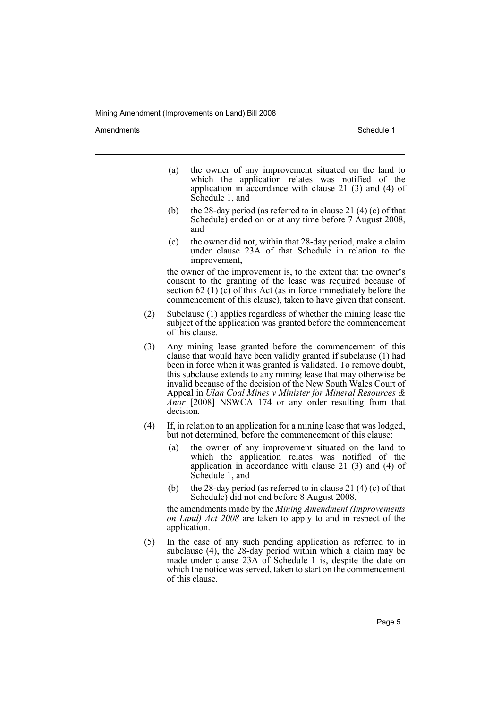Amendments **Amendments** Schedule 1

- (a) the owner of any improvement situated on the land to which the application relates was notified of the application in accordance with clause 21 (3) and (4) of Schedule 1, and
- (b) the 28-day period (as referred to in clause 21 (4) (c) of that Schedule) ended on or at any time before 7 August 2008, and
- (c) the owner did not, within that 28-day period, make a claim under clause 23A of that Schedule in relation to the improvement,

the owner of the improvement is, to the extent that the owner's consent to the granting of the lease was required because of section 62 (1)  $(c)$  of this Act (as in force immediately before the commencement of this clause), taken to have given that consent.

- (2) Subclause (1) applies regardless of whether the mining lease the subject of the application was granted before the commencement of this clause.
- (3) Any mining lease granted before the commencement of this clause that would have been validly granted if subclause (1) had been in force when it was granted is validated. To remove doubt, this subclause extends to any mining lease that may otherwise be invalid because of the decision of the New South Wales Court of Appeal in *Ulan Coal Mines v Minister for Mineral Resources & Anor* [2008] NSWCA 174 or any order resulting from that decision.
- (4) If, in relation to an application for a mining lease that was lodged, but not determined, before the commencement of this clause:
	- (a) the owner of any improvement situated on the land to which the application relates was notified of the application in accordance with clause 21 $(3)$  and  $(4)$  of Schedule 1, and
	- (b) the 28-day period (as referred to in clause 21 $(4)$  (c) of that Schedule) did not end before 8 August 2008,

the amendments made by the *Mining Amendment (Improvements on Land) Act 2008* are taken to apply to and in respect of the application.

(5) In the case of any such pending application as referred to in subclause (4), the 28-day period within which a claim may be made under clause 23A of Schedule 1 is, despite the date on which the notice was served, taken to start on the commencement of this clause.